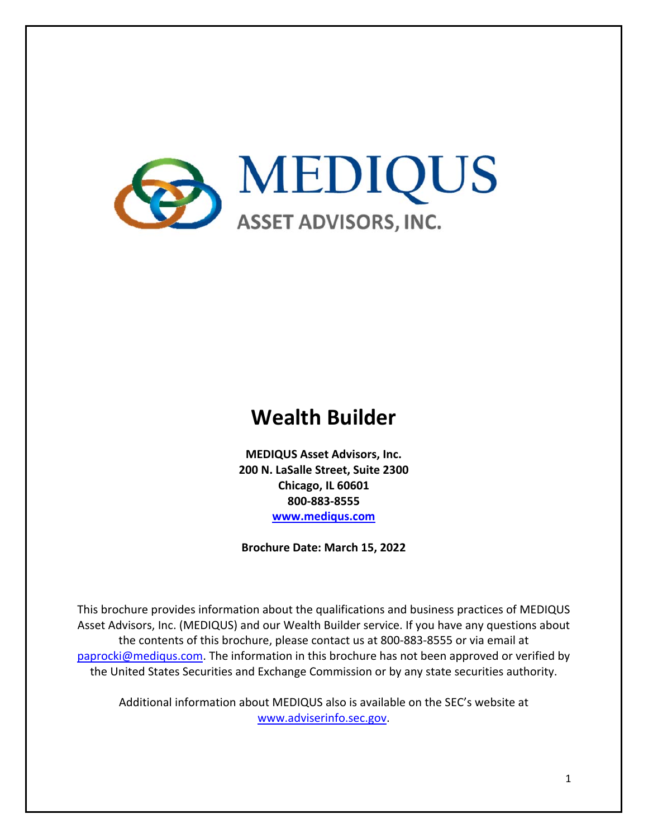

# **Wealth Builder**

**MEDIQUS Asset Advisors, Inc. 200 N. LaSalle Street, Suite 2300 Chicago, IL 60601 800‐883‐8555 www.mediqus.com**

**Brochure Date: March 15, 2022** 

This brochure provides information about the qualifications and business practices of MEDIQUS Asset Advisors, Inc. (MEDIQUS) and our Wealth Builder service. If you have any questions about the contents of this brochure, please contact us at 800‐883‐8555 or via email at paprocki@mediqus.com. The information in this brochure has not been approved or verified by the United States Securities and Exchange Commission or by any state securities authority.

Additional information about MEDIQUS also is available on the SEC's website at www.adviserinfo.sec.gov.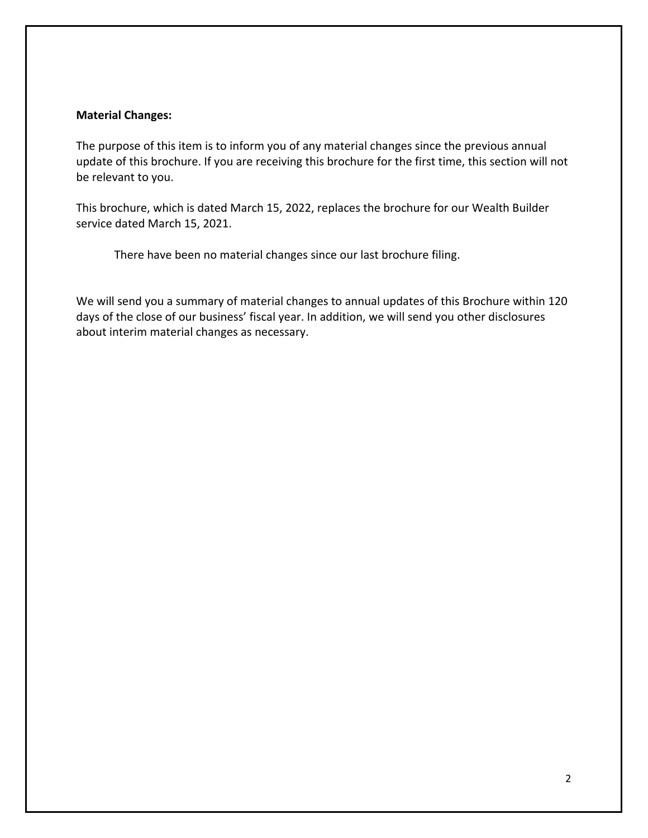#### **Material Changes:**

The purpose of this item is to inform you of any material changes since the previous annual update of this brochure. If you are receiving this brochure for the first time, this section will not be relevant to you.

This brochure, which is dated March 15, 2022, replaces the brochure for our Wealth Builder service dated March 15, 2021.

There have been no material changes since our last brochure filing.

We will send you a summary of material changes to annual updates of this Brochure within 120 days of the close of our business' fiscal year. In addition, we will send you other disclosures about interim material changes as necessary.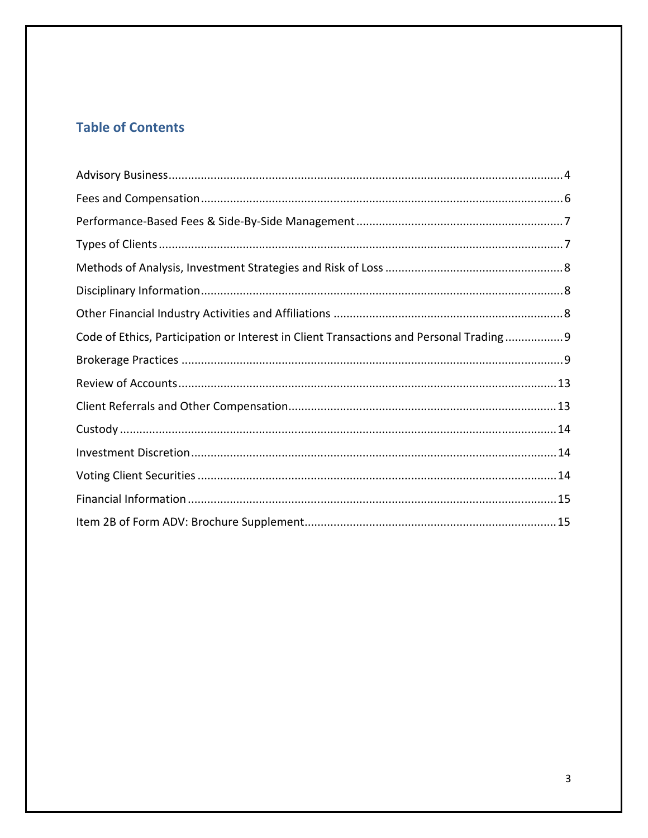# **Table of Contents**

| Code of Ethics, Participation or Interest in Client Transactions and Personal Trading9 |  |
|----------------------------------------------------------------------------------------|--|
|                                                                                        |  |
|                                                                                        |  |
|                                                                                        |  |
|                                                                                        |  |
|                                                                                        |  |
|                                                                                        |  |
|                                                                                        |  |
|                                                                                        |  |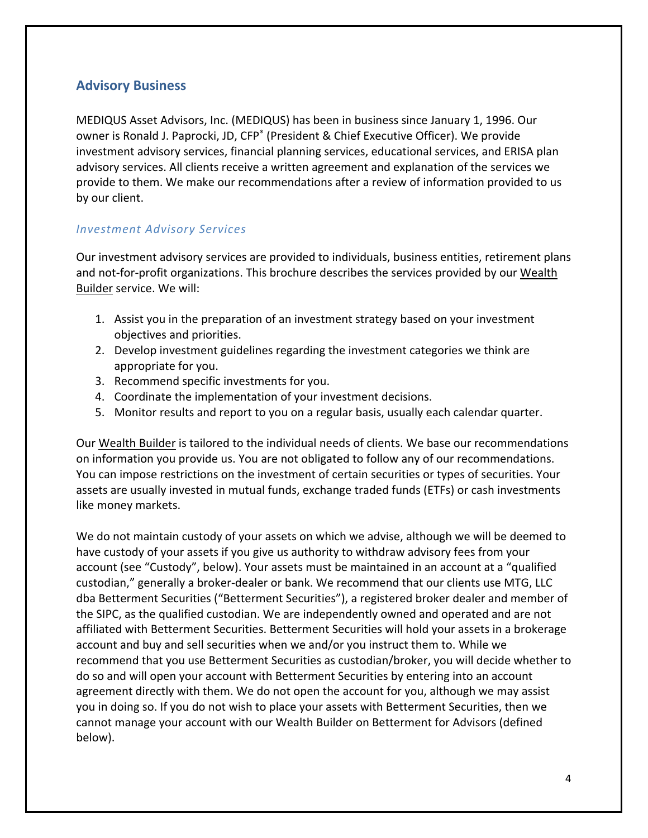### **Advisory Business**

MEDIQUS Asset Advisors, Inc. (MEDIQUS) has been in business since January 1, 1996. Our owner is Ronald J. Paprocki, JD, CFP<sup>®</sup> (President & Chief Executive Officer). We provide investment advisory services, financial planning services, educational services, and ERISA plan advisory services. All clients receive a written agreement and explanation of the services we provide to them. We make our recommendations after a review of information provided to us by our client.

#### *Investment Advisory Services*

Our investment advisory services are provided to individuals, business entities, retirement plans and not-for-profit organizations. This brochure describes the services provided by our Wealth Builder service. We will:

- 1. Assist you in the preparation of an investment strategy based on your investment objectives and priorities.
- 2. Develop investment guidelines regarding the investment categories we think are appropriate for you.
- 3. Recommend specific investments for you.
- 4. Coordinate the implementation of your investment decisions.
- 5. Monitor results and report to you on a regular basis, usually each calendar quarter.

Our Wealth Builder is tailored to the individual needs of clients. We base our recommendations on information you provide us. You are not obligated to follow any of our recommendations. You can impose restrictions on the investment of certain securities or types of securities. Your assets are usually invested in mutual funds, exchange traded funds (ETFs) or cash investments like money markets.

We do not maintain custody of your assets on which we advise, although we will be deemed to have custody of your assets if you give us authority to withdraw advisory fees from your account (see "Custody", below). Your assets must be maintained in an account at a "qualified custodian," generally a broker‐dealer or bank. We recommend that our clients use MTG, LLC dba Betterment Securities ("Betterment Securities"), a registered broker dealer and member of the SIPC, as the qualified custodian. We are independently owned and operated and are not affiliated with Betterment Securities. Betterment Securities will hold your assets in a brokerage account and buy and sell securities when we and/or you instruct them to. While we recommend that you use Betterment Securities as custodian/broker, you will decide whether to do so and will open your account with Betterment Securities by entering into an account agreement directly with them. We do not open the account for you, although we may assist you in doing so. If you do not wish to place your assets with Betterment Securities, then we cannot manage your account with our Wealth Builder on Betterment for Advisors (defined below).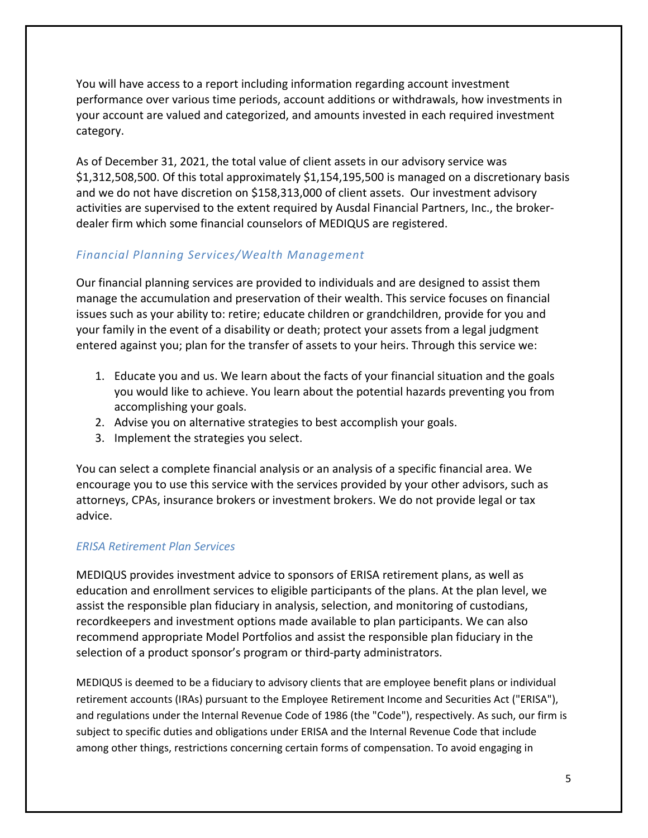You will have access to a report including information regarding account investment performance over various time periods, account additions or withdrawals, how investments in your account are valued and categorized, and amounts invested in each required investment category.

As of December 31, 2021, the total value of client assets in our advisory service was \$1,312,508,500. Of this total approximately \$1,154,195,500 is managed on a discretionary basis and we do not have discretion on \$158,313,000 of client assets. Our investment advisory activities are supervised to the extent required by Ausdal Financial Partners, Inc., the broker‐ dealer firm which some financial counselors of MEDIQUS are registered.

#### *Financial Planning Services/Wealth Management*

Our financial planning services are provided to individuals and are designed to assist them manage the accumulation and preservation of their wealth. This service focuses on financial issues such as your ability to: retire; educate children or grandchildren, provide for you and your family in the event of a disability or death; protect your assets from a legal judgment entered against you; plan for the transfer of assets to your heirs. Through this service we:

- 1. Educate you and us. We learn about the facts of your financial situation and the goals you would like to achieve. You learn about the potential hazards preventing you from accomplishing your goals.
- 2. Advise you on alternative strategies to best accomplish your goals.
- 3. Implement the strategies you select.

You can select a complete financial analysis or an analysis of a specific financial area. We encourage you to use this service with the services provided by your other advisors, such as attorneys, CPAs, insurance brokers or investment brokers. We do not provide legal or tax advice.

#### *ERISA Retirement Plan Services*

MEDIQUS provides investment advice to sponsors of ERISA retirement plans, as well as education and enrollment services to eligible participants of the plans. At the plan level, we assist the responsible plan fiduciary in analysis, selection, and monitoring of custodians, recordkeepers and investment options made available to plan participants. We can also recommend appropriate Model Portfolios and assist the responsible plan fiduciary in the selection of a product sponsor's program or third-party administrators.

MEDIQUS is deemed to be a fiduciary to advisory clients that are employee benefit plans or individual retirement accounts (IRAs) pursuant to the Employee Retirement Income and Securities Act ("ERISA"), and regulations under the Internal Revenue Code of 1986 (the "Code"), respectively. As such, our firm is subject to specific duties and obligations under ERISA and the Internal Revenue Code that include among other things, restrictions concerning certain forms of compensation. To avoid engaging in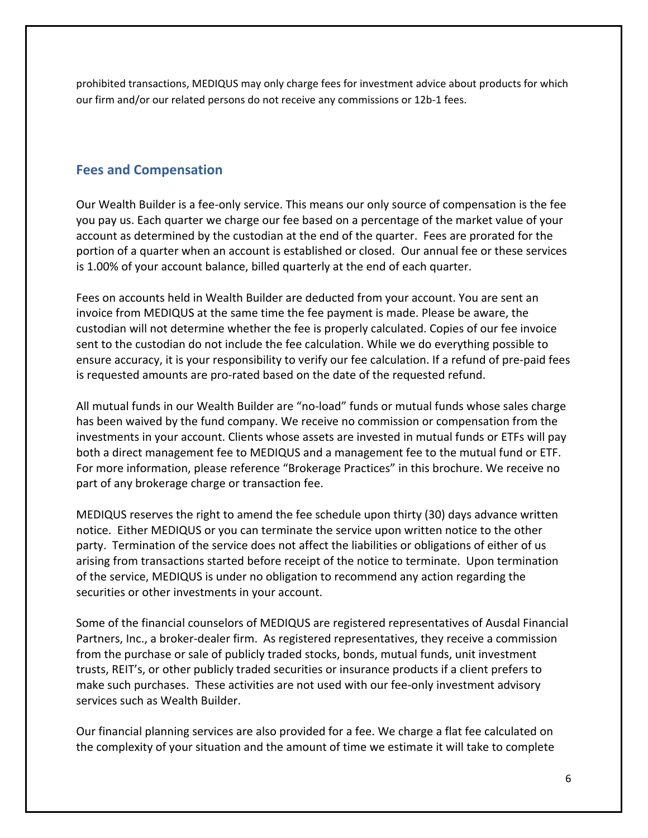prohibited transactions, MEDIQUS may only charge fees for investment advice about products for which our firm and/or our related persons do not receive any commissions or 12b-1 fees.

## **Fees and Compensation**

Our Wealth Builder is a fee‐only service. This means our only source of compensation is the fee you pay us. Each quarter we charge our fee based on a percentage of the market value of your account as determined by the custodian at the end of the quarter. Fees are prorated for the portion of a quarter when an account is established or closed. Our annual fee or these services is 1.00% of your account balance, billed quarterly at the end of each quarter.

Fees on accounts held in Wealth Builder are deducted from your account. You are sent an invoice from MEDIQUS at the same time the fee payment is made. Please be aware, the custodian will not determine whether the fee is properly calculated. Copies of our fee invoice sent to the custodian do not include the fee calculation. While we do everything possible to ensure accuracy, it is your responsibility to verify our fee calculation. If a refund of pre‐paid fees is requested amounts are pro‐rated based on the date of the requested refund.

All mutual funds in our Wealth Builder are "no‐load" funds or mutual funds whose sales charge has been waived by the fund company. We receive no commission or compensation from the investments in your account. Clients whose assets are invested in mutual funds or ETFs will pay both a direct management fee to MEDIQUS and a management fee to the mutual fund or ETF. For more information, please reference "Brokerage Practices" in this brochure. We receive no part of any brokerage charge or transaction fee.

MEDIQUS reserves the right to amend the fee schedule upon thirty (30) days advance written notice. Either MEDIQUS or you can terminate the service upon written notice to the other party. Termination of the service does not affect the liabilities or obligations of either of us arising from transactions started before receipt of the notice to terminate. Upon termination of the service, MEDIQUS is under no obligation to recommend any action regarding the securities or other investments in your account.

Some of the financial counselors of MEDIQUS are registered representatives of Ausdal Financial Partners, Inc., a broker‐dealer firm. As registered representatives, they receive a commission from the purchase or sale of publicly traded stocks, bonds, mutual funds, unit investment trusts, REIT's, or other publicly traded securities or insurance products if a client prefers to make such purchases. These activities are not used with our fee‐only investment advisory services such as Wealth Builder.

Our financial planning services are also provided for a fee. We charge a flat fee calculated on the complexity of your situation and the amount of time we estimate it will take to complete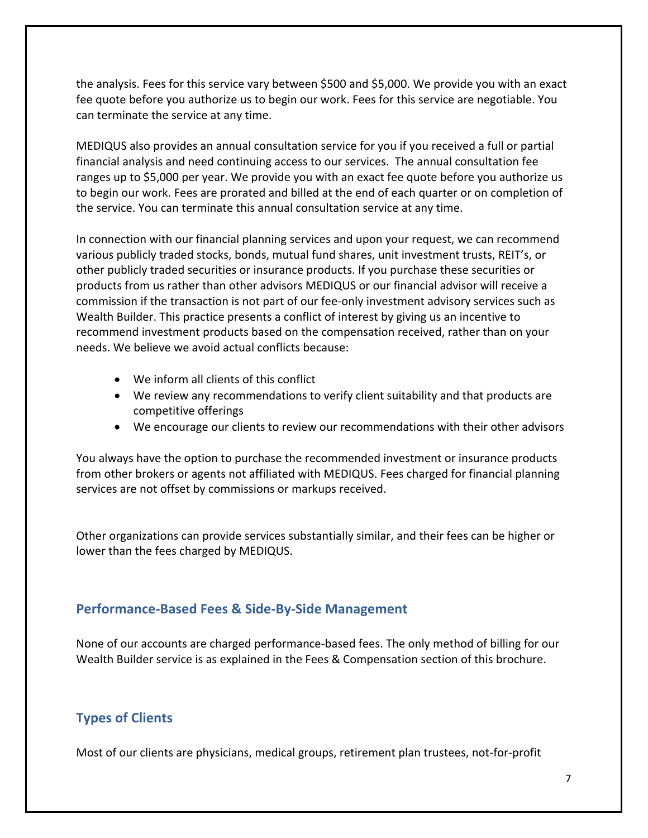the analysis. Fees for this service vary between \$500 and \$5,000. We provide you with an exact fee quote before you authorize us to begin our work. Fees for this service are negotiable. You can terminate the service at any time.

MEDIQUS also provides an annual consultation service for you if you received a full or partial financial analysis and need continuing access to our services. The annual consultation fee ranges up to \$5,000 per year. We provide you with an exact fee quote before you authorize us to begin our work. Fees are prorated and billed at the end of each quarter or on completion of the service. You can terminate this annual consultation service at any time.

In connection with our financial planning services and upon your request, we can recommend various publicly traded stocks, bonds, mutual fund shares, unit investment trusts, REIT's, or other publicly traded securities or insurance products. If you purchase these securities or products from us rather than other advisors MEDIQUS or our financial advisor will receive a commission if the transaction is not part of our fee‐only investment advisory services such as Wealth Builder. This practice presents a conflict of interest by giving us an incentive to recommend investment products based on the compensation received, rather than on your needs. We believe we avoid actual conflicts because:

- We inform all clients of this conflict
- We review any recommendations to verify client suitability and that products are competitive offerings
- We encourage our clients to review our recommendations with their other advisors

You always have the option to purchase the recommended investment or insurance products from other brokers or agents not affiliated with MEDIQUS. Fees charged for financial planning services are not offset by commissions or markups received.

Other organizations can provide services substantially similar, and their fees can be higher or lower than the fees charged by MEDIQUS.

### **Performance‐Based Fees & Side‐By‐Side Management**

None of our accounts are charged performance‐based fees. The only method of billing for our Wealth Builder service is as explained in the Fees & Compensation section of this brochure.

# **Types of Clients**

Most of our clients are physicians, medical groups, retirement plan trustees, not-for-profit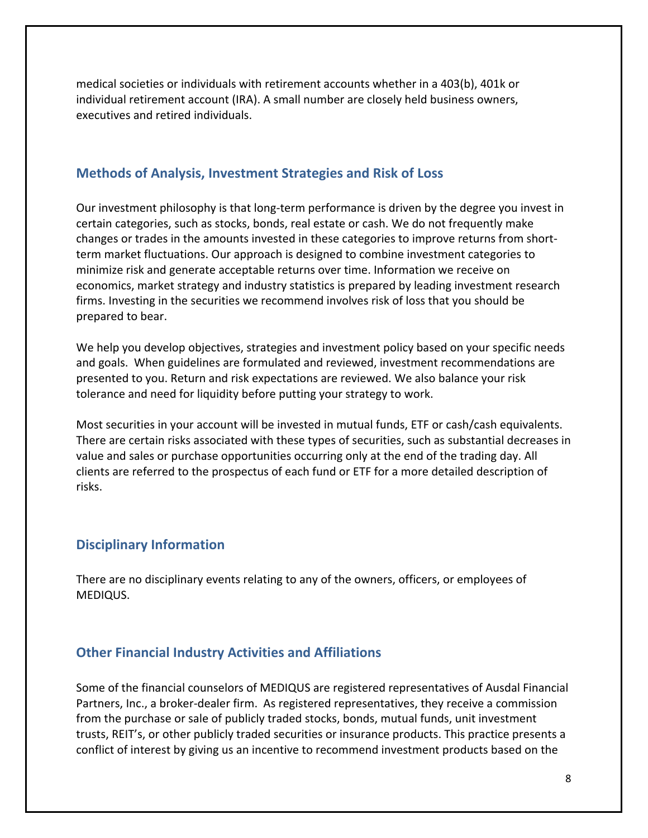medical societies or individuals with retirement accounts whether in a 403(b), 401k or individual retirement account (IRA). A small number are closely held business owners, executives and retired individuals.

#### **Methods of Analysis, Investment Strategies and Risk of Loss**

Our investment philosophy is that long‐term performance is driven by the degree you invest in certain categories, such as stocks, bonds, real estate or cash. We do not frequently make changes or trades in the amounts invested in these categories to improve returns from short‐ term market fluctuations. Our approach is designed to combine investment categories to minimize risk and generate acceptable returns over time. Information we receive on economics, market strategy and industry statistics is prepared by leading investment research firms. Investing in the securities we recommend involves risk of loss that you should be prepared to bear.

We help you develop objectives, strategies and investment policy based on your specific needs and goals. When guidelines are formulated and reviewed, investment recommendations are presented to you. Return and risk expectations are reviewed. We also balance your risk tolerance and need for liquidity before putting your strategy to work.

Most securities in your account will be invested in mutual funds, ETF or cash/cash equivalents. There are certain risks associated with these types of securities, such as substantial decreases in value and sales or purchase opportunities occurring only at the end of the trading day. All clients are referred to the prospectus of each fund or ETF for a more detailed description of risks.

### **Disciplinary Information**

There are no disciplinary events relating to any of the owners, officers, or employees of MEDIQUS.

### **Other Financial Industry Activities and Affiliations**

Some of the financial counselors of MEDIQUS are registered representatives of Ausdal Financial Partners, Inc., a broker‐dealer firm. As registered representatives, they receive a commission from the purchase or sale of publicly traded stocks, bonds, mutual funds, unit investment trusts, REIT's, or other publicly traded securities or insurance products. This practice presents a conflict of interest by giving us an incentive to recommend investment products based on the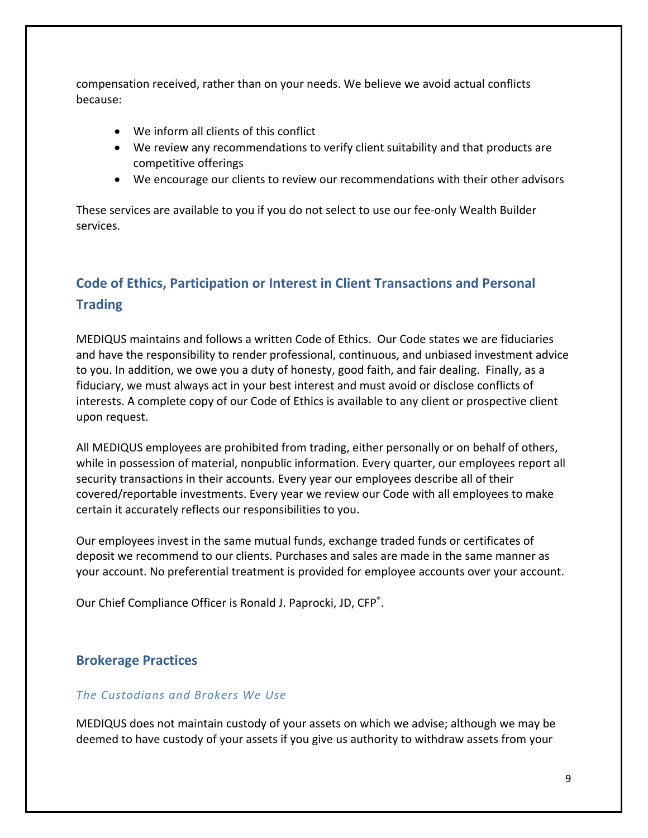compensation received, rather than on your needs. We believe we avoid actual conflicts because:

- We inform all clients of this conflict
- We review any recommendations to verify client suitability and that products are competitive offerings
- We encourage our clients to review our recommendations with their other advisors

These services are available to you if you do not select to use our fee‐only Wealth Builder services.

# **Code of Ethics, Participation or Interest in Client Transactions and Personal Trading**

MEDIQUS maintains and follows a written Code of Ethics. Our Code states we are fiduciaries and have the responsibility to render professional, continuous, and unbiased investment advice to you. In addition, we owe you a duty of honesty, good faith, and fair dealing. Finally, as a fiduciary, we must always act in your best interest and must avoid or disclose conflicts of interests. A complete copy of our Code of Ethics is available to any client or prospective client upon request.

All MEDIQUS employees are prohibited from trading, either personally or on behalf of others, while in possession of material, nonpublic information. Every quarter, our employees report all security transactions in their accounts. Every year our employees describe all of their covered/reportable investments. Every year we review our Code with all employees to make certain it accurately reflects our responsibilities to you.

Our employees invest in the same mutual funds, exchange traded funds or certificates of deposit we recommend to our clients. Purchases and sales are made in the same manner as your account. No preferential treatment is provided for employee accounts over your account.

Our Chief Compliance Officer is Ronald J. Paprocki, JD, CFP®.

### **Brokerage Practices**

#### *The Custodians and Brokers We Use*

MEDIQUS does not maintain custody of your assets on which we advise; although we may be deemed to have custody of your assets if you give us authority to withdraw assets from your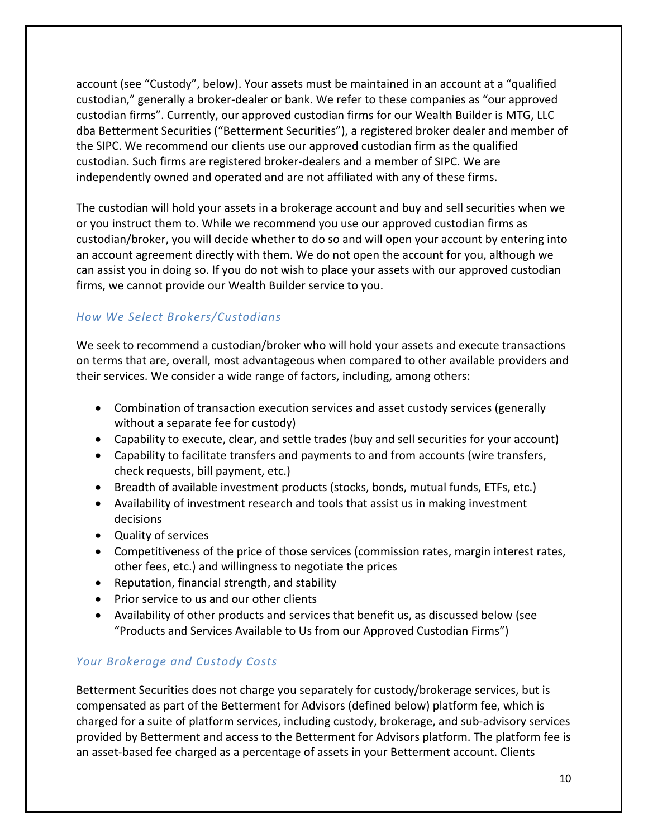account (see "Custody", below). Your assets must be maintained in an account at a "qualified custodian," generally a broker‐dealer or bank. We refer to these companies as "our approved custodian firms". Currently, our approved custodian firms for our Wealth Builder is MTG, LLC dba Betterment Securities ("Betterment Securities"), a registered broker dealer and member of the SIPC. We recommend our clients use our approved custodian firm as the qualified custodian. Such firms are registered broker‐dealers and a member of SIPC. We are independently owned and operated and are not affiliated with any of these firms.

The custodian will hold your assets in a brokerage account and buy and sell securities when we or you instruct them to. While we recommend you use our approved custodian firms as custodian/broker, you will decide whether to do so and will open your account by entering into an account agreement directly with them. We do not open the account for you, although we can assist you in doing so. If you do not wish to place your assets with our approved custodian firms, we cannot provide our Wealth Builder service to you.

### *How We Select Brokers/Custodians*

We seek to recommend a custodian/broker who will hold your assets and execute transactions on terms that are, overall, most advantageous when compared to other available providers and their services. We consider a wide range of factors, including, among others:

- Combination of transaction execution services and asset custody services (generally without a separate fee for custody)
- Capability to execute, clear, and settle trades (buy and sell securities for your account)
- Capability to facilitate transfers and payments to and from accounts (wire transfers, check requests, bill payment, etc.)
- Breadth of available investment products (stocks, bonds, mutual funds, ETFs, etc.)
- Availability of investment research and tools that assist us in making investment decisions
- Quality of services
- Competitiveness of the price of those services (commission rates, margin interest rates, other fees, etc.) and willingness to negotiate the prices
- Reputation, financial strength, and stability
- Prior service to us and our other clients
- Availability of other products and services that benefit us, as discussed below (see "Products and Services Available to Us from our Approved Custodian Firms")

### *Your Brokerage and Custody Costs*

Betterment Securities does not charge you separately for custody/brokerage services, but is compensated as part of the Betterment for Advisors (defined below) platform fee, which is charged for a suite of platform services, including custody, brokerage, and sub‐advisory services provided by Betterment and access to the Betterment for Advisors platform. The platform fee is an asset-based fee charged as a percentage of assets in your Betterment account. Clients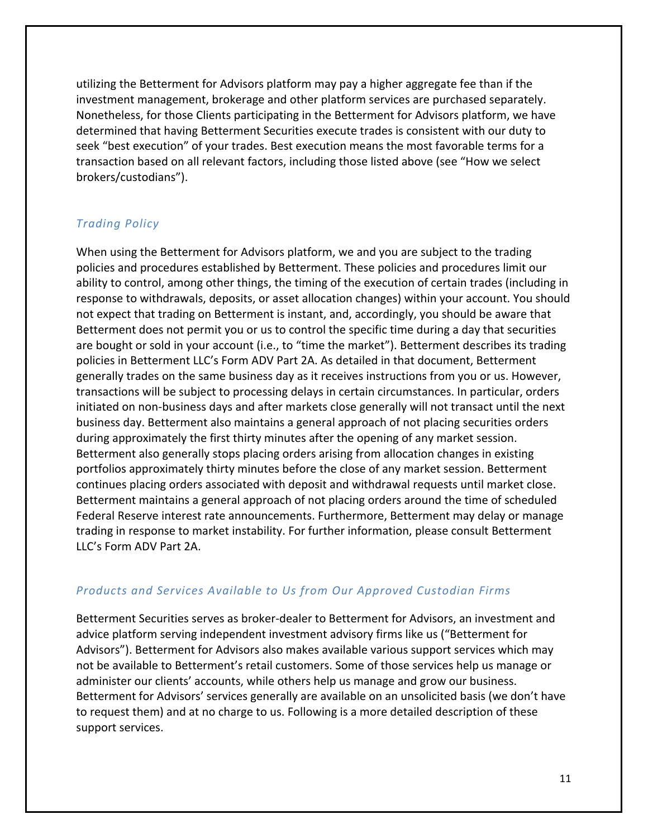utilizing the Betterment for Advisors platform may pay a higher aggregate fee than if the investment management, brokerage and other platform services are purchased separately. Nonetheless, for those Clients participating in the Betterment for Advisors platform, we have determined that having Betterment Securities execute trades is consistent with our duty to seek "best execution" of your trades. Best execution means the most favorable terms for a transaction based on all relevant factors, including those listed above (see "How we select brokers/custodians").

### *Trading Policy*

When using the Betterment for Advisors platform, we and you are subject to the trading policies and procedures established by Betterment. These policies and procedures limit our ability to control, among other things, the timing of the execution of certain trades (including in response to withdrawals, deposits, or asset allocation changes) within your account. You should not expect that trading on Betterment is instant, and, accordingly, you should be aware that Betterment does not permit you or us to control the specific time during a day that securities are bought or sold in your account (i.e., to "time the market"). Betterment describes its trading policies in Betterment LLC's Form ADV Part 2A. As detailed in that document, Betterment generally trades on the same business day as it receives instructions from you or us. However, transactions will be subject to processing delays in certain circumstances. In particular, orders initiated on non‐business days and after markets close generally will not transact until the next business day. Betterment also maintains a general approach of not placing securities orders during approximately the first thirty minutes after the opening of any market session. Betterment also generally stops placing orders arising from allocation changes in existing portfolios approximately thirty minutes before the close of any market session. Betterment continues placing orders associated with deposit and withdrawal requests until market close. Betterment maintains a general approach of not placing orders around the time of scheduled Federal Reserve interest rate announcements. Furthermore, Betterment may delay or manage trading in response to market instability. For further information, please consult Betterment LLC's Form ADV Part 2A.

#### *Products and Services Available to Us from Our Approved Custodian Firms*

Betterment Securities serves as broker‐dealer to Betterment for Advisors, an investment and advice platform serving independent investment advisory firms like us ("Betterment for Advisors"). Betterment for Advisors also makes available various support services which may not be available to Betterment's retail customers. Some of those services help us manage or administer our clients' accounts, while others help us manage and grow our business. Betterment for Advisors' services generally are available on an unsolicited basis (we don't have to request them) and at no charge to us. Following is a more detailed description of these support services.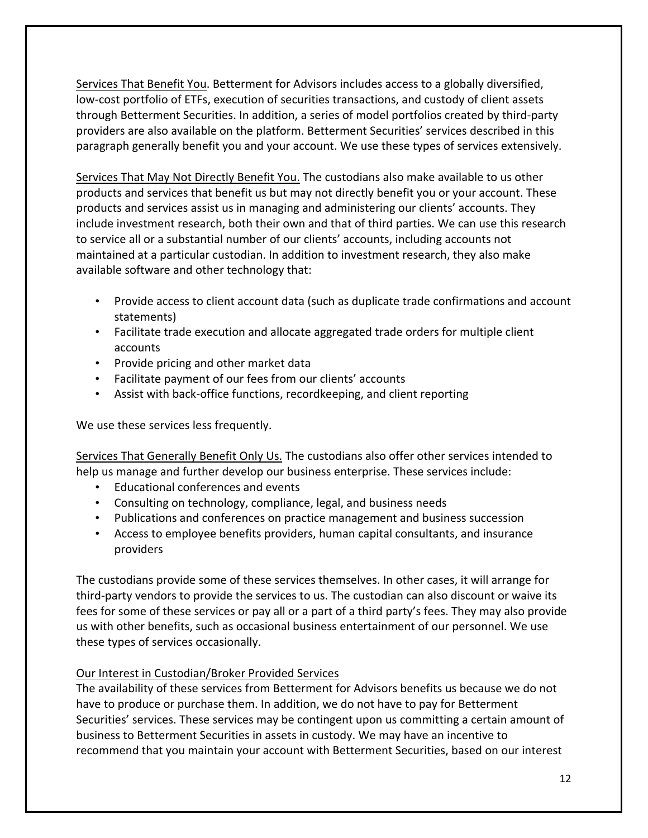Services That Benefit You. Betterment for Advisors includes access to a globally diversified, low‐cost portfolio of ETFs, execution of securities transactions, and custody of client assets through Betterment Securities. In addition, a series of model portfolios created by third‐party providers are also available on the platform. Betterment Securities' services described in this paragraph generally benefit you and your account. We use these types of services extensively.

Services That May Not Directly Benefit You. The custodians also make available to us other products and services that benefit us but may not directly benefit you or your account. These products and services assist us in managing and administering our clients' accounts. They include investment research, both their own and that of third parties. We can use this research to service all or a substantial number of our clients' accounts, including accounts not maintained at a particular custodian. In addition to investment research, they also make available software and other technology that:

- Provide access to client account data (such as duplicate trade confirmations and account statements)
- Facilitate trade execution and allocate aggregated trade orders for multiple client accounts
- Provide pricing and other market data
- Facilitate payment of our fees from our clients' accounts
- Assist with back-office functions, recordkeeping, and client reporting

We use these services less frequently.

Services That Generally Benefit Only Us. The custodians also offer other services intended to help us manage and further develop our business enterprise. These services include:

- Educational conferences and events
- Consulting on technology, compliance, legal, and business needs
- Publications and conferences on practice management and business succession
- Access to employee benefits providers, human capital consultants, and insurance providers

The custodians provide some of these services themselves. In other cases, it will arrange for third‐party vendors to provide the services to us. The custodian can also discount or waive its fees for some of these services or pay all or a part of a third party's fees. They may also provide us with other benefits, such as occasional business entertainment of our personnel. We use these types of services occasionally.

#### Our Interest in Custodian/Broker Provided Services

The availability of these services from Betterment for Advisors benefits us because we do not have to produce or purchase them. In addition, we do not have to pay for Betterment Securities' services. These services may be contingent upon us committing a certain amount of business to Betterment Securities in assets in custody. We may have an incentive to recommend that you maintain your account with Betterment Securities, based on our interest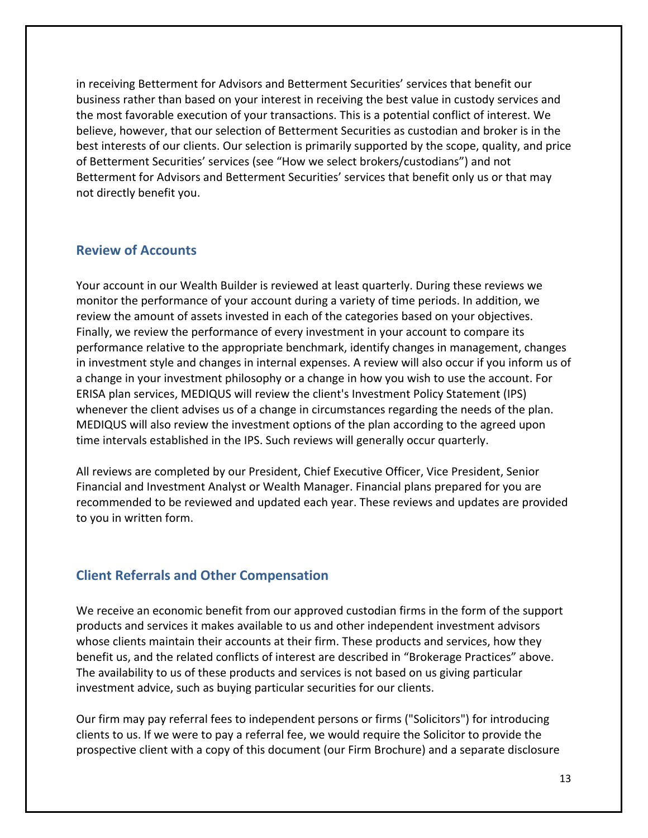in receiving Betterment for Advisors and Betterment Securities' services that benefit our business rather than based on your interest in receiving the best value in custody services and the most favorable execution of your transactions. This is a potential conflict of interest. We believe, however, that our selection of Betterment Securities as custodian and broker is in the best interests of our clients. Our selection is primarily supported by the scope, quality, and price of Betterment Securities' services (see "How we select brokers/custodians") and not Betterment for Advisors and Betterment Securities' services that benefit only us or that may not directly benefit you.

#### **Review of Accounts**

Your account in our Wealth Builder is reviewed at least quarterly. During these reviews we monitor the performance of your account during a variety of time periods. In addition, we review the amount of assets invested in each of the categories based on your objectives. Finally, we review the performance of every investment in your account to compare its performance relative to the appropriate benchmark, identify changes in management, changes in investment style and changes in internal expenses. A review will also occur if you inform us of a change in your investment philosophy or a change in how you wish to use the account. For ERISA plan services, MEDIQUS will review the client's Investment Policy Statement (IPS) whenever the client advises us of a change in circumstances regarding the needs of the plan. MEDIQUS will also review the investment options of the plan according to the agreed upon time intervals established in the IPS. Such reviews will generally occur quarterly.

All reviews are completed by our President, Chief Executive Officer, Vice President, Senior Financial and Investment Analyst or Wealth Manager. Financial plans prepared for you are recommended to be reviewed and updated each year. These reviews and updates are provided to you in written form.

### **Client Referrals and Other Compensation**

We receive an economic benefit from our approved custodian firms in the form of the support products and services it makes available to us and other independent investment advisors whose clients maintain their accounts at their firm. These products and services, how they benefit us, and the related conflicts of interest are described in "Brokerage Practices" above. The availability to us of these products and services is not based on us giving particular investment advice, such as buying particular securities for our clients.

Our firm may pay referral fees to independent persons or firms ("Solicitors") for introducing clients to us. If we were to pay a referral fee, we would require the Solicitor to provide the prospective client with a copy of this document (our Firm Brochure) and a separate disclosure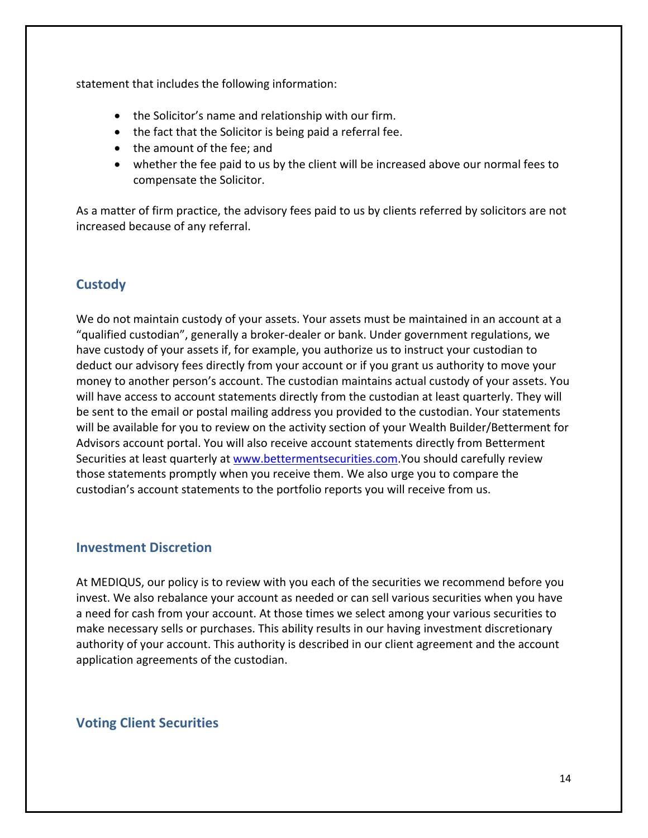statement that includes the following information:

- the Solicitor's name and relationship with our firm.
- the fact that the Solicitor is being paid a referral fee.
- the amount of the fee; and
- whether the fee paid to us by the client will be increased above our normal fees to compensate the Solicitor.

As a matter of firm practice, the advisory fees paid to us by clients referred by solicitors are not increased because of any referral.

## **Custody**

We do not maintain custody of your assets. Your assets must be maintained in an account at a "qualified custodian", generally a broker‐dealer or bank. Under government regulations, we have custody of your assets if, for example, you authorize us to instruct your custodian to deduct our advisory fees directly from your account or if you grant us authority to move your money to another person's account. The custodian maintains actual custody of your assets. You will have access to account statements directly from the custodian at least quarterly. They will be sent to the email or postal mailing address you provided to the custodian. Your statements will be available for you to review on the activity section of your Wealth Builder/Betterment for Advisors account portal. You will also receive account statements directly from Betterment Securities at least quarterly at www.bettermentsecurities.com.You should carefully review those statements promptly when you receive them. We also urge you to compare the custodian's account statements to the portfolio reports you will receive from us.

#### **Investment Discretion**

At MEDIQUS, our policy is to review with you each of the securities we recommend before you invest. We also rebalance your account as needed or can sell various securities when you have a need for cash from your account. At those times we select among your various securities to make necessary sells or purchases. This ability results in our having investment discretionary authority of your account. This authority is described in our client agreement and the account application agreements of the custodian.

### **Voting Client Securities**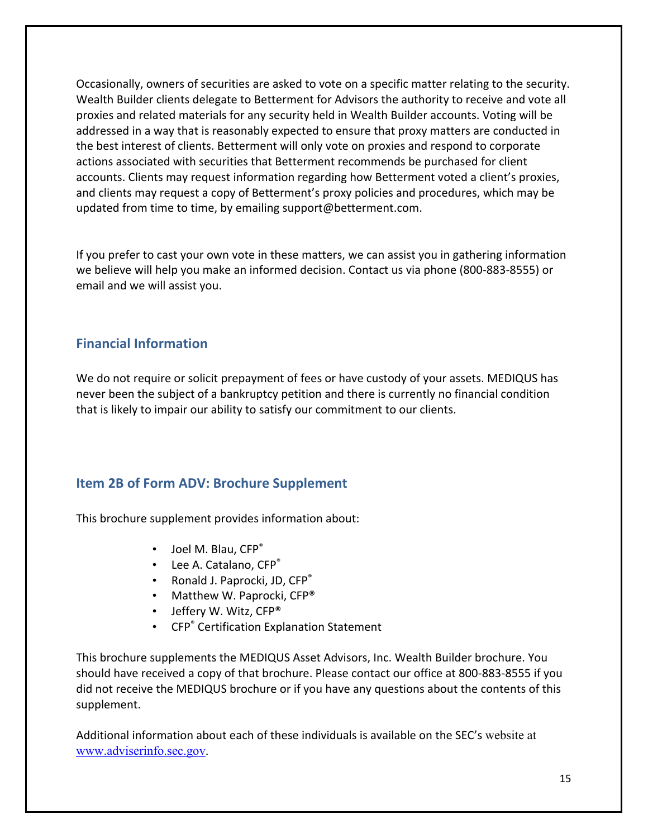Occasionally, owners of securities are asked to vote on a specific matter relating to the security. Wealth Builder clients delegate to Betterment for Advisors the authority to receive and vote all proxies and related materials for any security held in Wealth Builder accounts. Voting will be addressed in a way that is reasonably expected to ensure that proxy matters are conducted in the best interest of clients. Betterment will only vote on proxies and respond to corporate actions associated with securities that Betterment recommends be purchased for client accounts. Clients may request information regarding how Betterment voted a client's proxies, and clients may request a copy of Betterment's proxy policies and procedures, which may be updated from time to time, by emailing support@betterment.com.

If you prefer to cast your own vote in these matters, we can assist you in gathering information we believe will help you make an informed decision. Contact us via phone (800‐883‐8555) or email and we will assist you.

### **Financial Information**

We do not require or solicit prepayment of fees or have custody of your assets. MEDIQUS has never been the subject of a bankruptcy petition and there is currently no financial condition that is likely to impair our ability to satisfy our commitment to our clients.

## **Item 2B of Form ADV: Brochure Supplement**

This brochure supplement provides information about:

- Joel M. Blau, CFP<sup>®</sup>
- Lee A. Catalano, CFP®
- Ronald J. Paprocki, JD, CFP<sup>®</sup>
- Matthew W. Paprocki, CFP®
- Jeffery W. Witz, CFP®
- CFP<sup>®</sup> Certification Explanation Statement

This brochure supplements the MEDIQUS Asset Advisors, Inc. Wealth Builder brochure. You should have received a copy of that brochure. Please contact our office at 800‐883‐8555 if you did not receive the MEDIQUS brochure or if you have any questions about the contents of this supplement.

Additional information about each of these individuals is available on the SEC's website at www.adviserinfo.sec.gov.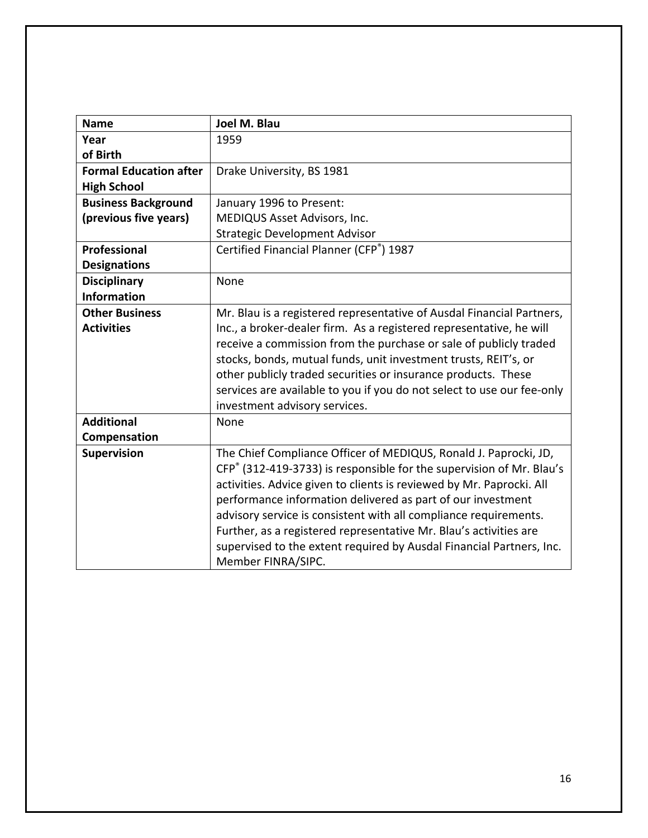| <b>Name</b>                   | Joel M. Blau                                                           |
|-------------------------------|------------------------------------------------------------------------|
| Year                          | 1959                                                                   |
| of Birth                      |                                                                        |
| <b>Formal Education after</b> | Drake University, BS 1981                                              |
| <b>High School</b>            |                                                                        |
| <b>Business Background</b>    | January 1996 to Present:                                               |
| (previous five years)         | MEDIQUS Asset Advisors, Inc.                                           |
|                               | <b>Strategic Development Advisor</b>                                   |
| <b>Professional</b>           | Certified Financial Planner (CFP®) 1987                                |
| <b>Designations</b>           |                                                                        |
| <b>Disciplinary</b>           | None                                                                   |
| <b>Information</b>            |                                                                        |
| <b>Other Business</b>         | Mr. Blau is a registered representative of Ausdal Financial Partners,  |
| <b>Activities</b>             | Inc., a broker-dealer firm. As a registered representative, he will    |
|                               | receive a commission from the purchase or sale of publicly traded      |
|                               | stocks, bonds, mutual funds, unit investment trusts, REIT's, or        |
|                               | other publicly traded securities or insurance products. These          |
|                               | services are available to you if you do not select to use our fee-only |
|                               | investment advisory services.                                          |
| <b>Additional</b>             | None                                                                   |
| Compensation                  |                                                                        |
| Supervision                   | The Chief Compliance Officer of MEDIQUS, Ronald J. Paprocki, JD,       |
|                               | CFP® (312-419-3733) is responsible for the supervision of Mr. Blau's   |
|                               | activities. Advice given to clients is reviewed by Mr. Paprocki. All   |
|                               | performance information delivered as part of our investment            |
|                               | advisory service is consistent with all compliance requirements.       |
|                               | Further, as a registered representative Mr. Blau's activities are      |
|                               | supervised to the extent required by Ausdal Financial Partners, Inc.   |
|                               | Member FINRA/SIPC.                                                     |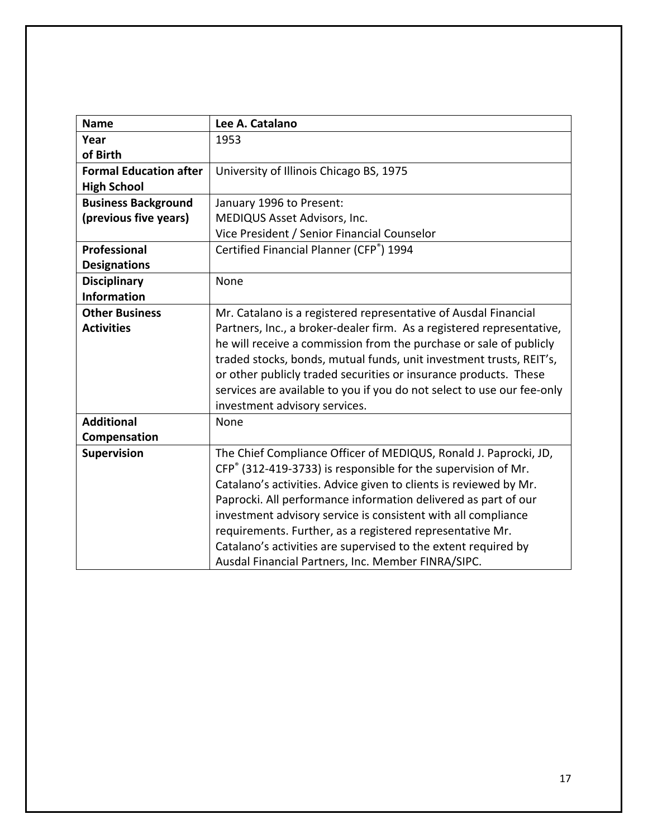| <b>Name</b>                   | Lee A. Catalano                                                        |
|-------------------------------|------------------------------------------------------------------------|
| Year                          | 1953                                                                   |
| of Birth                      |                                                                        |
| <b>Formal Education after</b> | University of Illinois Chicago BS, 1975                                |
| <b>High School</b>            |                                                                        |
| <b>Business Background</b>    | January 1996 to Present:                                               |
| (previous five years)         | MEDIQUS Asset Advisors, Inc.                                           |
|                               | Vice President / Senior Financial Counselor                            |
| Professional                  | Certified Financial Planner (CFP®) 1994                                |
| <b>Designations</b>           |                                                                        |
| <b>Disciplinary</b>           | None                                                                   |
| <b>Information</b>            |                                                                        |
| <b>Other Business</b>         | Mr. Catalano is a registered representative of Ausdal Financial        |
| <b>Activities</b>             | Partners, Inc., a broker-dealer firm. As a registered representative,  |
|                               | he will receive a commission from the purchase or sale of publicly     |
|                               | traded stocks, bonds, mutual funds, unit investment trusts, REIT's,    |
|                               | or other publicly traded securities or insurance products. These       |
|                               | services are available to you if you do not select to use our fee-only |
|                               | investment advisory services.                                          |
| <b>Additional</b>             | None                                                                   |
| Compensation                  |                                                                        |
| <b>Supervision</b>            | The Chief Compliance Officer of MEDIQUS, Ronald J. Paprocki, JD,       |
|                               | CFP® (312-419-3733) is responsible for the supervision of Mr.          |
|                               | Catalano's activities. Advice given to clients is reviewed by Mr.      |
|                               | Paprocki. All performance information delivered as part of our         |
|                               | investment advisory service is consistent with all compliance          |
|                               | requirements. Further, as a registered representative Mr.              |
|                               | Catalano's activities are supervised to the extent required by         |
|                               | Ausdal Financial Partners, Inc. Member FINRA/SIPC.                     |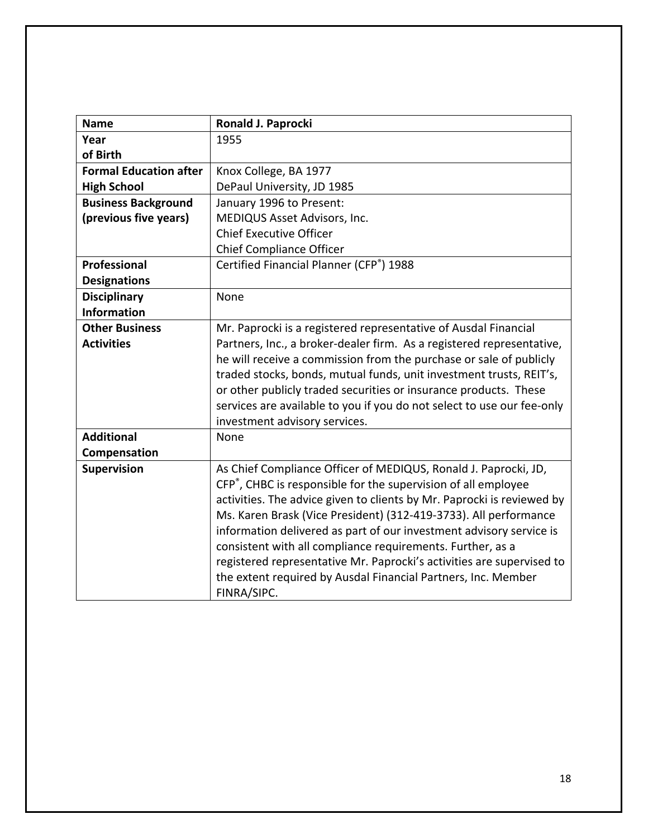| <b>Name</b>                   | Ronald J. Paprocki                                                     |
|-------------------------------|------------------------------------------------------------------------|
| Year                          | 1955                                                                   |
| of Birth                      |                                                                        |
| <b>Formal Education after</b> | Knox College, BA 1977                                                  |
| <b>High School</b>            | DePaul University, JD 1985                                             |
| <b>Business Background</b>    | January 1996 to Present:                                               |
| (previous five years)         | MEDIQUS Asset Advisors, Inc.                                           |
|                               | <b>Chief Executive Officer</b>                                         |
|                               | <b>Chief Compliance Officer</b>                                        |
| <b>Professional</b>           | Certified Financial Planner (CFP®) 1988                                |
| <b>Designations</b>           |                                                                        |
| <b>Disciplinary</b>           | None                                                                   |
| <b>Information</b>            |                                                                        |
| <b>Other Business</b>         | Mr. Paprocki is a registered representative of Ausdal Financial        |
| <b>Activities</b>             | Partners, Inc., a broker-dealer firm. As a registered representative,  |
|                               | he will receive a commission from the purchase or sale of publicly     |
|                               | traded stocks, bonds, mutual funds, unit investment trusts, REIT's,    |
|                               | or other publicly traded securities or insurance products. These       |
|                               | services are available to you if you do not select to use our fee-only |
|                               | investment advisory services.                                          |
| <b>Additional</b>             | None                                                                   |
| Compensation                  |                                                                        |
| <b>Supervision</b>            | As Chief Compliance Officer of MEDIQUS, Ronald J. Paprocki, JD,        |
|                               | CFP®, CHBC is responsible for the supervision of all employee          |
|                               | activities. The advice given to clients by Mr. Paprocki is reviewed by |
|                               | Ms. Karen Brask (Vice President) (312-419-3733). All performance       |
|                               | information delivered as part of our investment advisory service is    |
|                               | consistent with all compliance requirements. Further, as a             |
|                               | registered representative Mr. Paprocki's activities are supervised to  |
|                               | the extent required by Ausdal Financial Partners, Inc. Member          |
|                               | FINRA/SIPC.                                                            |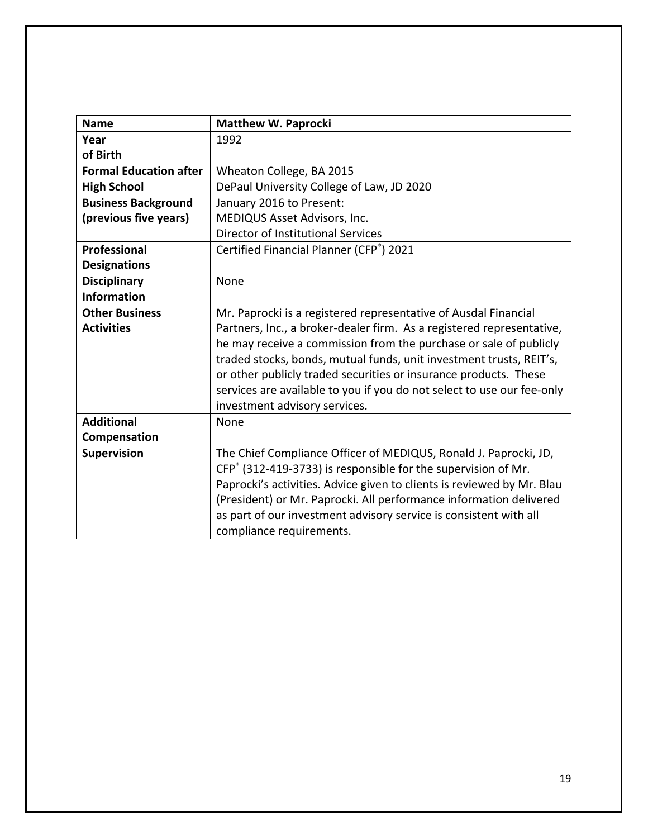| <b>Name</b>                   | <b>Matthew W. Paprocki</b>                                             |
|-------------------------------|------------------------------------------------------------------------|
| Year                          | 1992                                                                   |
| of Birth                      |                                                                        |
| <b>Formal Education after</b> | Wheaton College, BA 2015                                               |
| <b>High School</b>            | DePaul University College of Law, JD 2020                              |
| <b>Business Background</b>    | January 2016 to Present:                                               |
| (previous five years)         | MEDIQUS Asset Advisors, Inc.                                           |
|                               | Director of Institutional Services                                     |
| Professional                  | Certified Financial Planner (CFP®) 2021                                |
| <b>Designations</b>           |                                                                        |
| <b>Disciplinary</b>           | None                                                                   |
| <b>Information</b>            |                                                                        |
| <b>Other Business</b>         | Mr. Paprocki is a registered representative of Ausdal Financial        |
| <b>Activities</b>             | Partners, Inc., a broker-dealer firm. As a registered representative,  |
|                               | he may receive a commission from the purchase or sale of publicly      |
|                               | traded stocks, bonds, mutual funds, unit investment trusts, REIT's,    |
|                               | or other publicly traded securities or insurance products. These       |
|                               | services are available to you if you do not select to use our fee-only |
|                               | investment advisory services.                                          |
| <b>Additional</b>             | None                                                                   |
| Compensation                  |                                                                        |
| Supervision                   | The Chief Compliance Officer of MEDIQUS, Ronald J. Paprocki, JD,       |
|                               | CFP® (312-419-3733) is responsible for the supervision of Mr.          |
|                               | Paprocki's activities. Advice given to clients is reviewed by Mr. Blau |
|                               | (President) or Mr. Paprocki. All performance information delivered     |
|                               | as part of our investment advisory service is consistent with all      |
|                               | compliance requirements.                                               |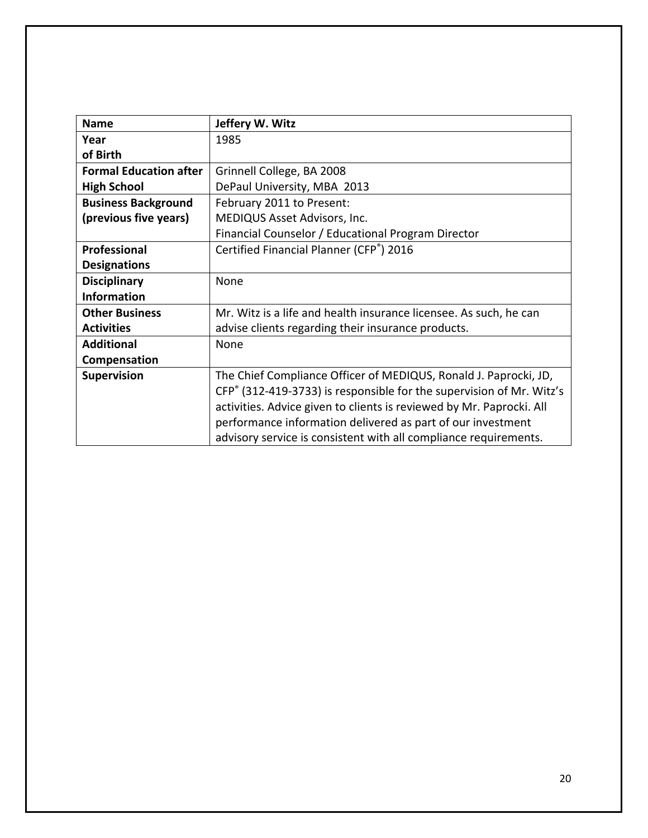| <b>Name</b>                   | Jeffery W. Witz                                                      |
|-------------------------------|----------------------------------------------------------------------|
| Year                          | 1985                                                                 |
| of Birth                      |                                                                      |
| <b>Formal Education after</b> | Grinnell College, BA 2008                                            |
| <b>High School</b>            | DePaul University, MBA 2013                                          |
| <b>Business Background</b>    | February 2011 to Present:                                            |
| (previous five years)         | MEDIQUS Asset Advisors, Inc.                                         |
|                               | Financial Counselor / Educational Program Director                   |
| Professional                  | Certified Financial Planner (CFP®) 2016                              |
| <b>Designations</b>           |                                                                      |
| <b>Disciplinary</b>           | None                                                                 |
| <b>Information</b>            |                                                                      |
| <b>Other Business</b>         | Mr. Witz is a life and health insurance licensee. As such, he can    |
| <b>Activities</b>             | advise clients regarding their insurance products.                   |
| <b>Additional</b>             | None                                                                 |
| Compensation                  |                                                                      |
| Supervision                   | The Chief Compliance Officer of MEDIQUS, Ronald J. Paprocki, JD,     |
|                               | CFP® (312-419-3733) is responsible for the supervision of Mr. Witz's |
|                               | activities. Advice given to clients is reviewed by Mr. Paprocki. All |
|                               | performance information delivered as part of our investment          |
|                               | advisory service is consistent with all compliance requirements.     |